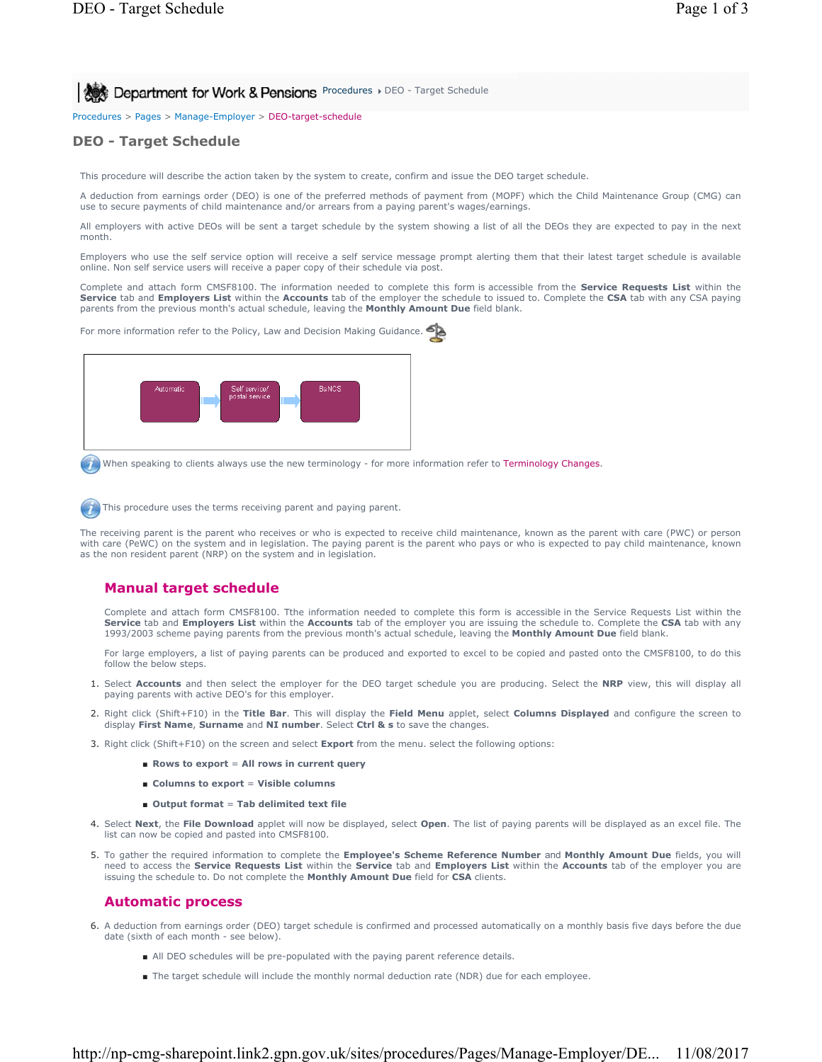Procedures > Pages > Manage-Employer > DEO-target-schedule

## **DEO - Target Schedule**

This procedure will describe the action taken by the system to create, confirm and issue the DEO target schedule.

A deduction from earnings order (DEO) is one of the preferred methods of payment from (MOPF) which the Child Maintenance Group (CMG) can use to secure payments of child maintenance and/or arrears from a paying parent's wages/earnings.

All employers with active DEOs will be sent a target schedule by the system showing a list of all the DEOs they are expected to pay in the next month.

Employers who use the self service option will receive a self service message prompt alerting them that their latest target schedule is available online. Non self service users will receive a paper copy of their schedule via post.

Complete and attach form CMSF8100. The information needed to complete this form is accessible from the **Service Requests List** within the **Service** tab and **Employers List** within the **Accounts** tab of the employer the schedule to issued to. Complete the **CSA** tab with any CSA paying parents from the previous month's actual schedule, leaving the **Monthly Amount Due** field blank.

For more information refer to the Policy, Law and Decision Making Guidance.



When speaking to clients always use the new terminology - for more information refer to Terminology Changes.

This procedure uses the terms receiving parent and paying parent.

The receiving parent is the parent who receives or who is expected to receive child maintenance, known as the parent with care (PWC) or person with care (PeWC) on the system and in legislation. The paying parent is the parent who pays or who is expected to pay child maintenance, known as the non resident parent (NRP) on the system and in legislation.

## **Manual target schedule**

Complete and attach form CMSF8100. Tthe information needed to complete this form is accessible in the Service Requests List within the **Service** tab and **Employers List** within the **Accounts** tab of the employer you are issuing the schedule to. Complete the **CSA** tab with any 1993/2003 scheme paying parents from the previous month's actual schedule, leaving the **Monthly Amount Due** field blank.

For large employers, a list of paying parents can be produced and exported to excel to be copied and pasted onto the CMSF8100, to do this follow the below steps.

- 1. Select **Accounts** and then select the employer for the DEO target schedule you are producing. Select the **NRP** view, this will display all paying parents with active DEO's for this employer.
- 2. Right click (Shift+F10) in the **Title Bar**. This will display the **Field Menu** applet, select **Columns Displayed** and configure the screen to display **First Name**, **Surname** and **NI number**. Select **Ctrl & s** to save the changes.
- 3. Right click (Shift+F10) on the screen and select **Export** from the menu. select the following options:
	- **Rows to export** = All rows in current query
	- **Columns to export** = Visible columns
	- **Output format** = **Tab delimited text file**
- Select **Next**, the **File Download** applet will now be displayed, select **Open**. The list of paying parents will be displayed as an excel file. The 4. list can now be copied and pasted into CMSF8100.
- 5. To gather the required information to complete the *Employee's Scheme Reference Number and Monthly Amount Due* fields, you will need to access the **Service Requests List** within the **Service** tab and **Employers List** within the **Accounts** tab of the employer you are issuing the schedule to. Do not complete the **Monthly Amount Due** field for **CSA** clients.

### **Automatic process**

- 6. A deduction from earnings order (DEO) target schedule is confirmed and processed automatically on a monthly basis five days before the due date (sixth of each month - see below).
	- All DEO schedules will be pre-populated with the paying parent reference details.
	- The target schedule will include the monthly normal deduction rate (NDR) due for each employee.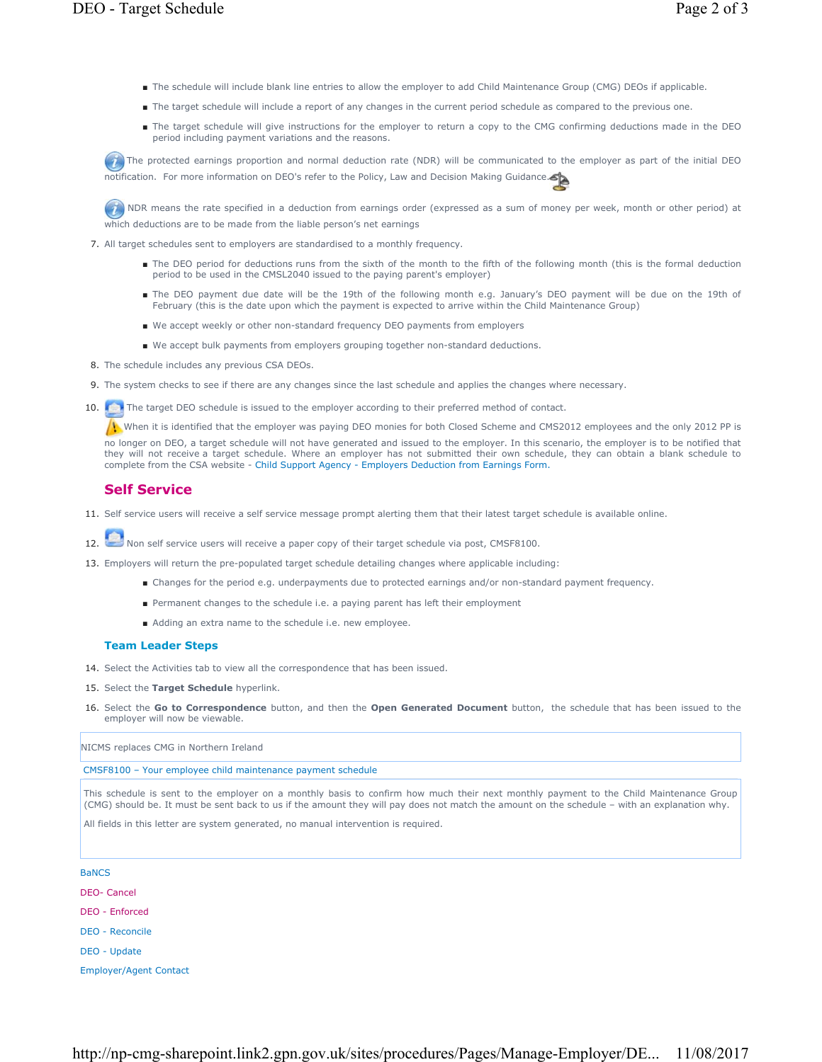- The schedule will include blank line entries to allow the employer to add Child Maintenance Group (CMG) DEOs if applicable.
- The target schedule will include a report of any changes in the current period schedule as compared to the previous one.
- The target schedule will give instructions for the employer to return a copy to the CMG confirming deductions made in the DEO period including payment variations and the reasons.

The protected earnings proportion and normal deduction rate (NDR) will be communicated to the employer as part of the initial DEO notification. For more information on DEO's refer to the Policy, Law and Decision Making Guidance.

NDR means the rate specified in a deduction from earnings order (expressed as a sum of money per week, month or other period) at which deductions are to be made from the liable person's net earnings

- 7. All target schedules sent to employers are standardised to a monthly frequency.
	- The DEO period for deductions runs from the sixth of the month to the fifth of the following month (this is the formal deduction period to be used in the CMSL2040 issued to the paying parent's employer)
	- The DEO payment due date will be the 19th of the following month e.g. January's DEO payment will be due on the 19th of February (this is the date upon which the payment is expected to arrive within the Child Maintenance Group)
	- We accept weekly or other non-standard frequency DEO payments from employers
	- We accept bulk payments from employers grouping together non-standard deductions.
- 8. The schedule includes any previous CSA DEOs.
- 9. The system checks to see if there are any changes since the last schedule and applies the changes where necessary.
- The target DEO schedule is issued to the employer according to their preferred method of contact.  $10.$

When it is identified that the employer was paying DEO monies for both Closed Scheme and CMS2012 employees and the only 2012 PP is

no longer on DEO, a target schedule will not have generated and issued to the employer. In this scenario, the employer is to be notified that they will not receive a target schedule. Where an employer has not submitted their own schedule, they can obtain a blank schedule to complete from the CSA website - Child Support Agency - Employers Deduction from Earnings Form.

## **Self Service**

- 11. Self service users will receive a self service message prompt alerting them that their latest target schedule is available online.
- 12. Non self service users will receive a paper copy of their target schedule via post, CMSF8100.
- 13. Employers will return the pre-populated target schedule detailing changes where applicable including:
	- Changes for the period e.g. underpayments due to protected earnings and/or non-standard payment frequency.
	- Permanent changes to the schedule i.e. a paying parent has left their employment
	- Adding an extra name to the schedule i.e. new employee.

### **Team Leader Steps**

- 14. Select the Activities tab to view all the correspondence that has been issued.
- 15. Select the **Target Schedule** hyperlink.
- 16. Select the Go to Correspondence button, and then the Open Generated Document button, the schedule that has been issued to the employer will now be viewable.

NICMS replaces CMG in Northern Ireland

CMSF8100 – Your employee child maintenance payment schedule

This schedule is sent to the employer on a monthly basis to confirm how much their next monthly payment to the Child Maintenance Group (CMG) should be. It must be sent back to us if the amount they will pay does not match the amount on the schedule – with an explanation why.

All fields in this letter are system generated, no manual intervention is required.

# **BaNCS** DEO- Cancel DEO - Enforced DEO - Reconcile DEO - Update

Employer/Agent Contact

http://np-cmg-sharepoint.link2.gpn.gov.uk/sites/procedures/Pages/Manage-Employer/DE... 11/08/2017